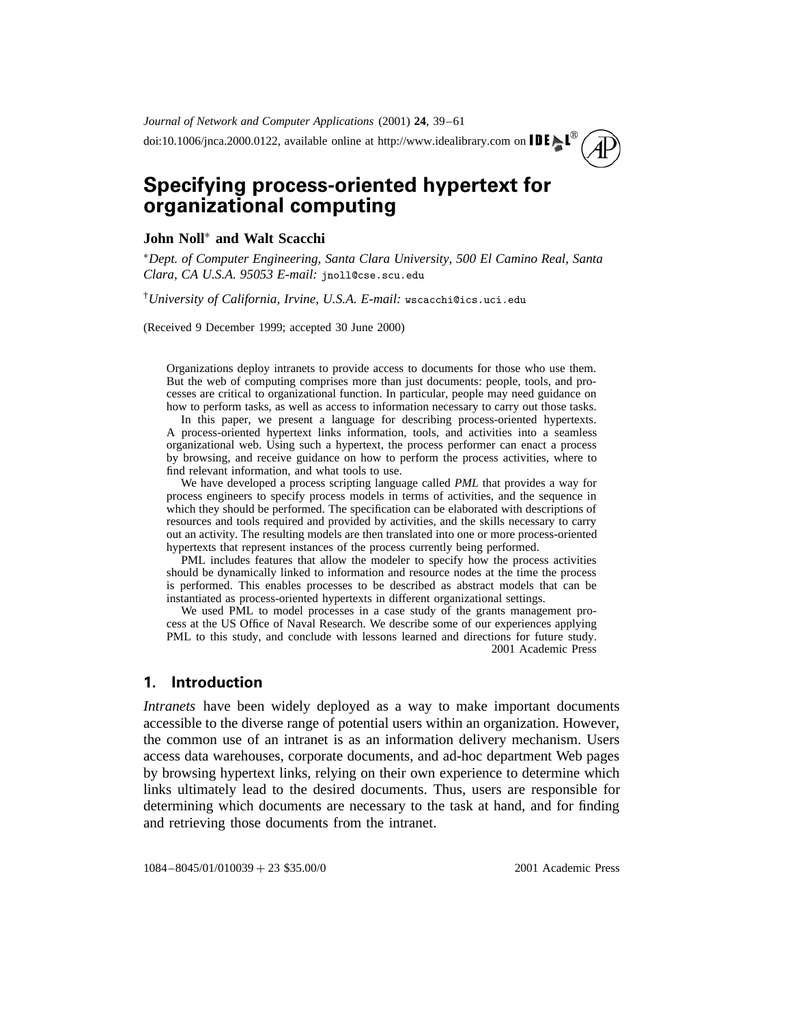*Journal of Network and Computer Applications* (2001) **24**, 39–61 doi:10.1006/jnca.2000.0122, available online at http://www.idealibrary.com on  $\text{IDE} \geq \text{C}$ 

# **Specifying process-oriented hypertext for organizational computing**

#### John Noll<sup>\*</sup> and Walt Scacchi

<sup>Ł</sup>*Dept. of Computer Engineering, Santa Clara University, 500 El Camino Real, Santa Clara, CA U.S.A. 95053 E-mail:* jnoll@cse.scu.edu

†*University of California, Irvine, U.S.A. E-mail:* wscacchi@ics.uci.edu

(Received 9 December 1999; accepted 30 June 2000)

Organizations deploy intranets to provide access to documents for those who use them. But the web of computing comprises more than just documents: people, tools, and processes are critical to organizational function. In particular, people may need guidance on how to perform tasks, as well as access to information necessary to carry out those tasks.

In this paper, we present a language for describing process-oriented hypertexts. A process-oriented hypertext links information, tools, and activities into a seamless organizational web. Using such a hypertext, the process performer can enact a process by browsing, and receive guidance on how to perform the process activities, where to find relevant information, and what tools to use.

We have developed a process scripting language called *PML* that provides a way for process engineers to specify process models in terms of activities, and the sequence in which they should be performed. The specification can be elaborated with descriptions of resources and tools required and provided by activities, and the skills necessary to carry out an activity. The resulting models are then translated into one or more process-oriented hypertexts that represent instances of the process currently being performed.

PML includes features that allow the modeler to specify how the process activities should be dynamically linked to information and resource nodes at the time the process is performed. This enables processes to be described as abstract models that can be instantiated as process-oriented hypertexts in different organizational settings.

We used PML to model processes in a case study of the grants management process at the US Office of Naval Research. We describe some of our experiences applying PML to this study, and conclude with lessons learned and directions for future study. 2001 Academic Press

### **1. Introduction**

*Intranets* have been widely deployed as a way to make important documents accessible to the diverse range of potential users within an organization. However, the common use of an intranet is as an information delivery mechanism. Users access data warehouses, corporate documents, and ad-hoc department Web pages by browsing hypertext links, relying on their own experience to determine which links ultimately lead to the desired documents. Thus, users are responsible for determining which documents are necessary to the task at hand, and for finding and retrieving those documents from the intranet.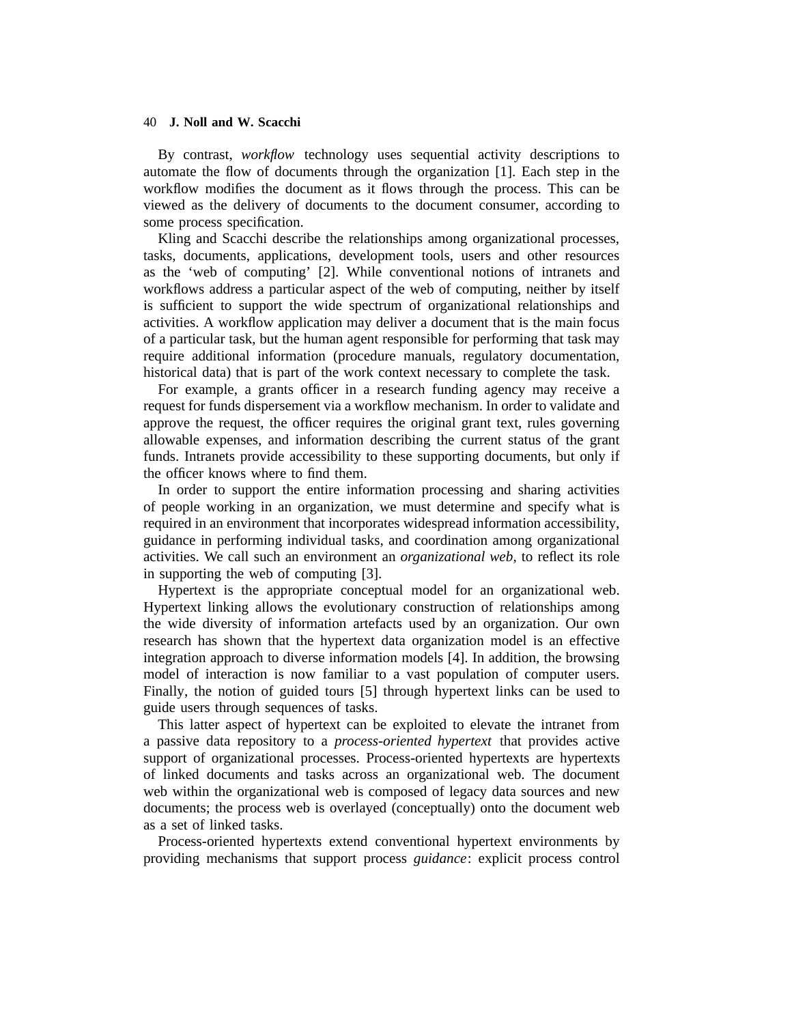By contrast, *workflow* technology uses sequential activity descriptions to automate the flow of documents through the organization [1]. Each step in the workflow modifies the document as it flows through the process. This can be viewed as the delivery of documents to the document consumer, according to some process specification.

Kling and Scacchi describe the relationships among organizational processes, tasks, documents, applications, development tools, users and other resources as the 'web of computing' [2]. While conventional notions of intranets and workflows address a particular aspect of the web of computing, neither by itself is sufficient to support the wide spectrum of organizational relationships and activities. A workflow application may deliver a document that is the main focus of a particular task, but the human agent responsible for performing that task may require additional information (procedure manuals, regulatory documentation, historical data) that is part of the work context necessary to complete the task.

For example, a grants officer in a research funding agency may receive a request for funds dispersement via a workflow mechanism. In order to validate and approve the request, the officer requires the original grant text, rules governing allowable expenses, and information describing the current status of the grant funds. Intranets provide accessibility to these supporting documents, but only if the officer knows where to find them.

In order to support the entire information processing and sharing activities of people working in an organization, we must determine and specify what is required in an environment that incorporates widespread information accessibility, guidance in performing individual tasks, and coordination among organizational activities. We call such an environment an *organizational web*, to reflect its role in supporting the web of computing [3].

Hypertext is the appropriate conceptual model for an organizational web. Hypertext linking allows the evolutionary construction of relationships among the wide diversity of information artefacts used by an organization. Our own research has shown that the hypertext data organization model is an effective integration approach to diverse information models [4]. In addition, the browsing model of interaction is now familiar to a vast population of computer users. Finally, the notion of guided tours [5] through hypertext links can be used to guide users through sequences of tasks.

This latter aspect of hypertext can be exploited to elevate the intranet from a passive data repository to a *process-oriented hypertext* that provides active support of organizational processes. Process-oriented hypertexts are hypertexts of linked documents and tasks across an organizational web. The document web within the organizational web is composed of legacy data sources and new documents; the process web is overlayed (conceptually) onto the document web as a set of linked tasks.

Process-oriented hypertexts extend conventional hypertext environments by providing mechanisms that support process *guidance*: explicit process control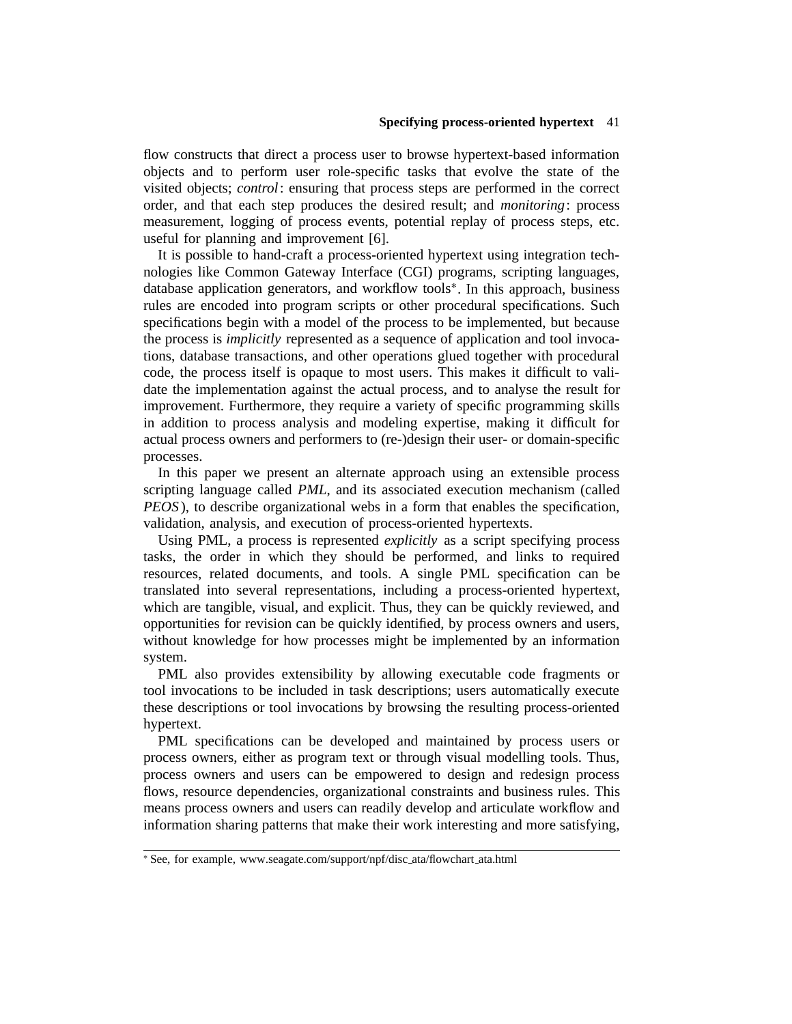flow constructs that direct a process user to browse hypertext-based information objects and to perform user role-specific tasks that evolve the state of the visited objects; *control*: ensuring that process steps are performed in the correct order, and that each step produces the desired result; and *monitoring*: process measurement, logging of process events, potential replay of process steps, etc. useful for planning and improvement [6].

It is possible to hand-craft a process-oriented hypertext using integration technologies like Common Gateway Interface (CGI) programs, scripting languages, database application generators, and workflow tools<sup>\*</sup>. In this approach, business rules are encoded into program scripts or other procedural specifications. Such specifications begin with a model of the process to be implemented, but because the process is *implicitly* represented as a sequence of application and tool invocations, database transactions, and other operations glued together with procedural code, the process itself is opaque to most users. This makes it difficult to validate the implementation against the actual process, and to analyse the result for improvement. Furthermore, they require a variety of specific programming skills in addition to process analysis and modeling expertise, making it difficult for actual process owners and performers to (re-)design their user- or domain-specific processes.

In this paper we present an alternate approach using an extensible process scripting language called *PML*, and its associated execution mechanism (called *PEOS*), to describe organizational webs in a form that enables the specification, validation, analysis, and execution of process-oriented hypertexts.

Using PML, a process is represented *explicitly* as a script specifying process tasks, the order in which they should be performed, and links to required resources, related documents, and tools. A single PML specification can be translated into several representations, including a process-oriented hypertext, which are tangible, visual, and explicit. Thus, they can be quickly reviewed, and opportunities for revision can be quickly identified, by process owners and users, without knowledge for how processes might be implemented by an information system.

PML also provides extensibility by allowing executable code fragments or tool invocations to be included in task descriptions; users automatically execute these descriptions or tool invocations by browsing the resulting process-oriented hypertext.

PML specifications can be developed and maintained by process users or process owners, either as program text or through visual modelling tools. Thus, process owners and users can be empowered to design and redesign process flows, resource dependencies, organizational constraints and business rules. This means process owners and users can readily develop and articulate workflow and information sharing patterns that make their work interesting and more satisfying,

<sup>\*</sup> See, for example, www.seagate.com/support/npf/disc\_ata/flowchart\_ata.html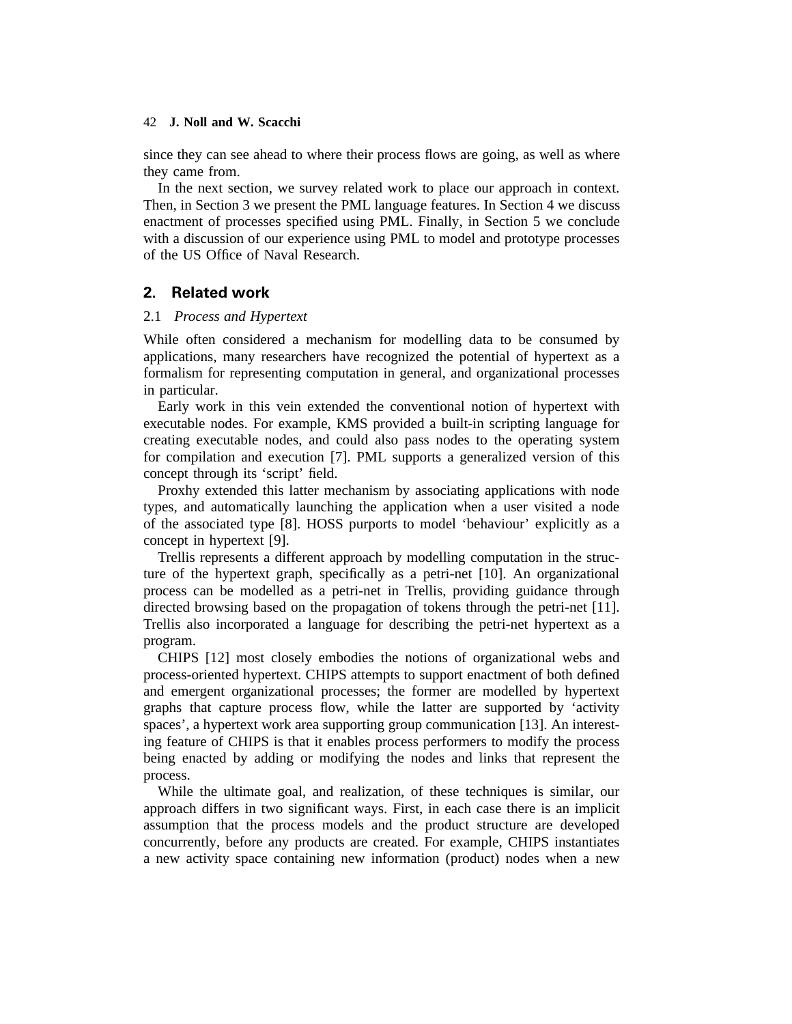since they can see ahead to where their process flows are going, as well as where they came from.

In the next section, we survey related work to place our approach in context. Then, in Section 3 we present the PML language features. In Section 4 we discuss enactment of processes specified using PML. Finally, in Section 5 we conclude with a discussion of our experience using PML to model and prototype processes of the US Office of Naval Research.

# **2. Related work**

#### 2.1 *Process and Hypertext*

While often considered a mechanism for modelling data to be consumed by applications, many researchers have recognized the potential of hypertext as a formalism for representing computation in general, and organizational processes in particular.

Early work in this vein extended the conventional notion of hypertext with executable nodes. For example, KMS provided a built-in scripting language for creating executable nodes, and could also pass nodes to the operating system for compilation and execution [7]. PML supports a generalized version of this concept through its 'script' field.

Proxhy extended this latter mechanism by associating applications with node types, and automatically launching the application when a user visited a node of the associated type [8]. HOSS purports to model 'behaviour' explicitly as a concept in hypertext [9].

Trellis represents a different approach by modelling computation in the structure of the hypertext graph, specifically as a petri-net [10]. An organizational process can be modelled as a petri-net in Trellis, providing guidance through directed browsing based on the propagation of tokens through the petri-net [11]. Trellis also incorporated a language for describing the petri-net hypertext as a program.

CHIPS [12] most closely embodies the notions of organizational webs and process-oriented hypertext. CHIPS attempts to support enactment of both defined and emergent organizational processes; the former are modelled by hypertext graphs that capture process flow, while the latter are supported by 'activity spaces', a hypertext work area supporting group communication [13]. An interesting feature of CHIPS is that it enables process performers to modify the process being enacted by adding or modifying the nodes and links that represent the process.

While the ultimate goal, and realization, of these techniques is similar, our approach differs in two significant ways. First, in each case there is an implicit assumption that the process models and the product structure are developed concurrently, before any products are created. For example, CHIPS instantiates a new activity space containing new information (product) nodes when a new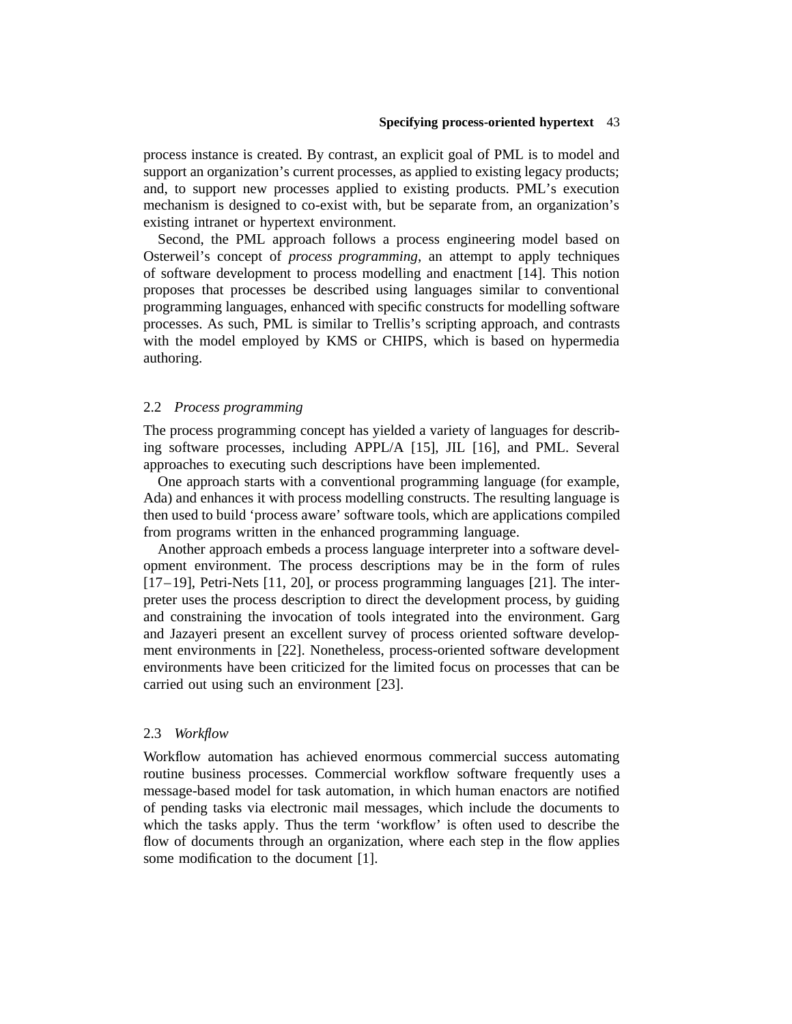process instance is created. By contrast, an explicit goal of PML is to model and support an organization's current processes, as applied to existing legacy products; and, to support new processes applied to existing products. PML's execution mechanism is designed to co-exist with, but be separate from, an organization's existing intranet or hypertext environment.

Second, the PML approach follows a process engineering model based on Osterweil's concept of *process programming*, an attempt to apply techniques of software development to process modelling and enactment [14]. This notion proposes that processes be described using languages similar to conventional programming languages, enhanced with specific constructs for modelling software processes. As such, PML is similar to Trellis's scripting approach, and contrasts with the model employed by KMS or CHIPS, which is based on hypermedia authoring.

#### 2.2 *Process programming*

The process programming concept has yielded a variety of languages for describing software processes, including APPL/A [15], JIL [16], and PML. Several approaches to executing such descriptions have been implemented.

One approach starts with a conventional programming language (for example, Ada) and enhances it with process modelling constructs. The resulting language is then used to build 'process aware' software tools, which are applications compiled from programs written in the enhanced programming language.

Another approach embeds a process language interpreter into a software development environment. The process descriptions may be in the form of rules [17–19], Petri-Nets [11, 20], or process programming languages [21]. The interpreter uses the process description to direct the development process, by guiding and constraining the invocation of tools integrated into the environment. Garg and Jazayeri present an excellent survey of process oriented software development environments in [22]. Nonetheless, process-oriented software development environments have been criticized for the limited focus on processes that can be carried out using such an environment [23].

### 2.3 *Workflow*

Workflow automation has achieved enormous commercial success automating routine business processes. Commercial workflow software frequently uses a message-based model for task automation, in which human enactors are notified of pending tasks via electronic mail messages, which include the documents to which the tasks apply. Thus the term 'workflow' is often used to describe the flow of documents through an organization, where each step in the flow applies some modification to the document [1].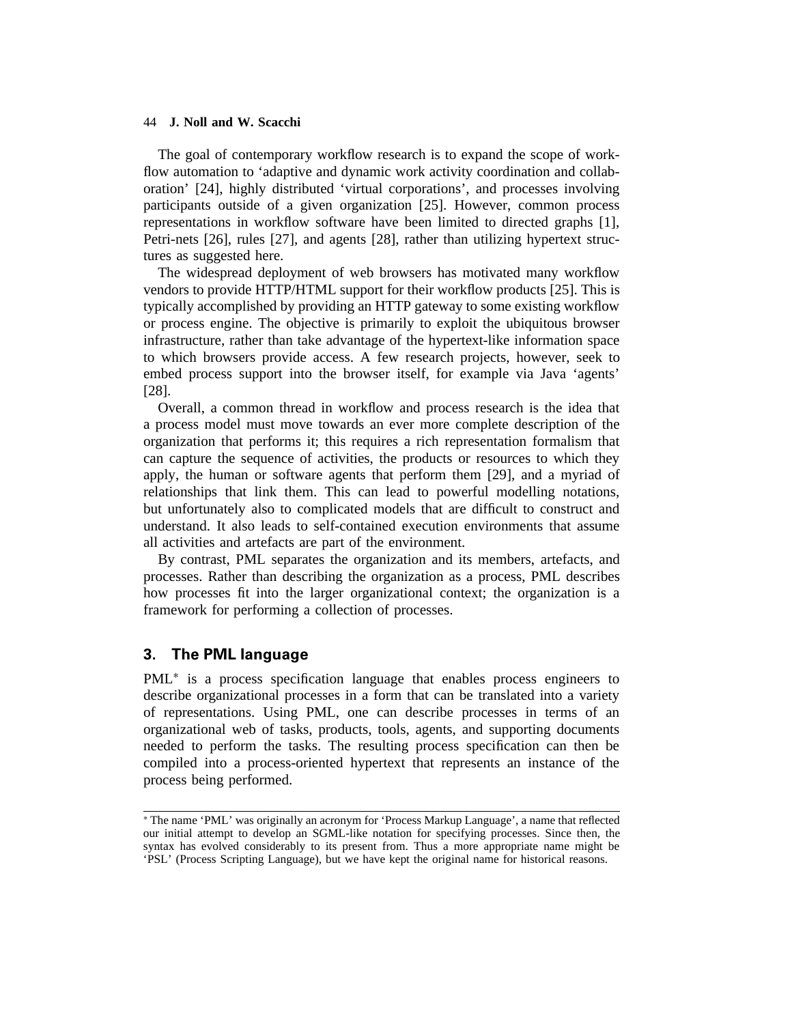The goal of contemporary workflow research is to expand the scope of workflow automation to 'adaptive and dynamic work activity coordination and collaboration' [24], highly distributed 'virtual corporations', and processes involving participants outside of a given organization [25]. However, common process representations in workflow software have been limited to directed graphs [1], Petri-nets [26], rules [27], and agents [28], rather than utilizing hypertext structures as suggested here.

The widespread deployment of web browsers has motivated many workflow vendors to provide HTTP/HTML support for their workflow products [25]. This is typically accomplished by providing an HTTP gateway to some existing workflow or process engine. The objective is primarily to exploit the ubiquitous browser infrastructure, rather than take advantage of the hypertext-like information space to which browsers provide access. A few research projects, however, seek to embed process support into the browser itself, for example via Java 'agents' [28].

Overall, a common thread in workflow and process research is the idea that a process model must move towards an ever more complete description of the organization that performs it; this requires a rich representation formalism that can capture the sequence of activities, the products or resources to which they apply, the human or software agents that perform them [29], and a myriad of relationships that link them. This can lead to powerful modelling notations, but unfortunately also to complicated models that are difficult to construct and understand. It also leads to self-contained execution environments that assume all activities and artefacts are part of the environment.

By contrast, PML separates the organization and its members, artefacts, and processes. Rather than describing the organization as a process, PML describes how processes fit into the larger organizational context; the organization is a framework for performing a collection of processes.

# **3. The PML language**

PML<sup>\*</sup> is a process specification language that enables process engineers to describe organizational processes in a form that can be translated into a variety of representations. Using PML, one can describe processes in terms of an organizational web of tasks, products, tools, agents, and supporting documents needed to perform the tasks. The resulting process specification can then be compiled into a process-oriented hypertext that represents an instance of the process being performed.

<sup>Ł</sup> The name 'PML' was originally an acronym for 'Process Markup Language', a name that reflected our initial attempt to develop an SGML-like notation for specifying processes. Since then, the syntax has evolved considerably to its present from. Thus a more appropriate name might be 'PSL' (Process Scripting Language), but we have kept the original name for historical reasons.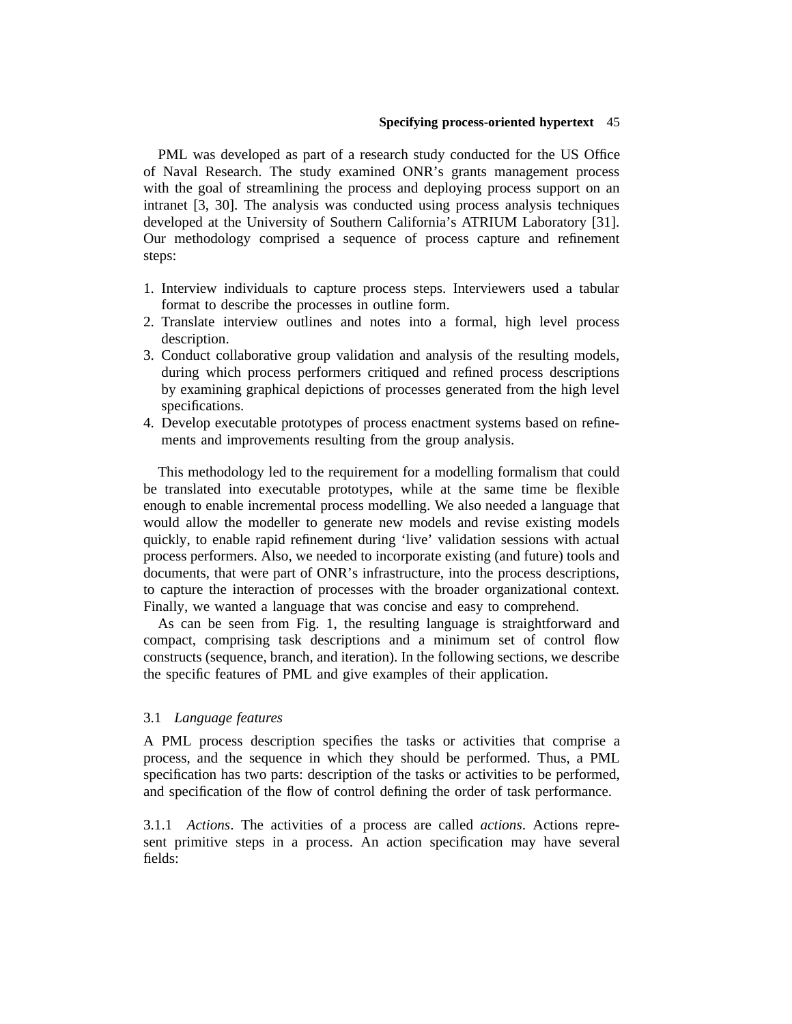PML was developed as part of a research study conducted for the US Office of Naval Research. The study examined ONR's grants management process with the goal of streamlining the process and deploying process support on an intranet [3, 30]. The analysis was conducted using process analysis techniques developed at the University of Southern California's ATRIUM Laboratory [31]. Our methodology comprised a sequence of process capture and refinement steps:

- 1. Interview individuals to capture process steps. Interviewers used a tabular format to describe the processes in outline form.
- 2. Translate interview outlines and notes into a formal, high level process description.
- 3. Conduct collaborative group validation and analysis of the resulting models, during which process performers critiqued and refined process descriptions by examining graphical depictions of processes generated from the high level specifications.
- 4. Develop executable prototypes of process enactment systems based on refinements and improvements resulting from the group analysis.

This methodology led to the requirement for a modelling formalism that could be translated into executable prototypes, while at the same time be flexible enough to enable incremental process modelling. We also needed a language that would allow the modeller to generate new models and revise existing models quickly, to enable rapid refinement during 'live' validation sessions with actual process performers. Also, we needed to incorporate existing (and future) tools and documents, that were part of ONR's infrastructure, into the process descriptions, to capture the interaction of processes with the broader organizational context. Finally, we wanted a language that was concise and easy to comprehend.

As can be seen from [Fig. 1,](#page-7-0) the resulting language is straightforward and compact, comprising task descriptions and a minimum set of control flow constructs (sequence, branch, and iteration). In the following sections, we describe the specific features of PML and give examples of their application.

### 3.1 *Language features*

A PML process description specifies the tasks or activities that comprise a process, and the sequence in which they should be performed. Thus, a PML specification has two parts: description of the tasks or activities to be performed, and specification of the flow of control defining the order of task performance.

3.1.1 *Actions*. The activities of a process are called *actions*. Actions represent primitive steps in a process. An action specification may have several fields: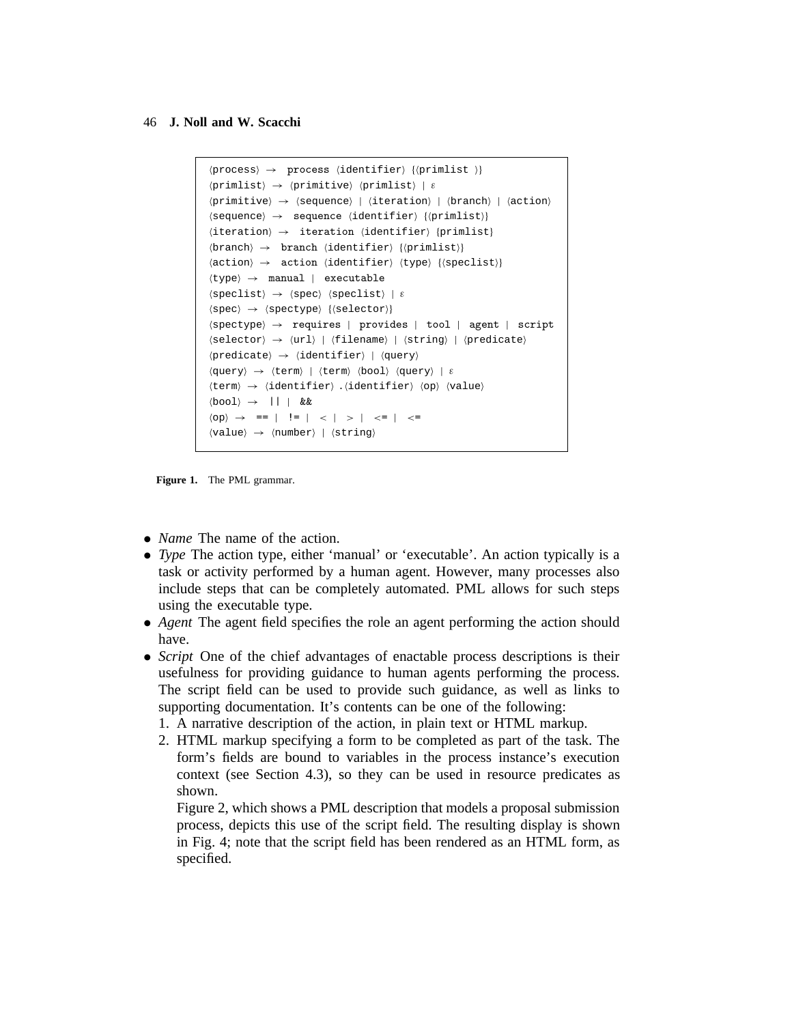```
\langle process \rangle \rightarrow process \langle identifier \rangle \{ \langle primlist \rangle \}\langleprimlist\rangle \rightarrow \langleprimitive\rangle \langleprimlist\rangle | \varepsilon\langleprimitive\rangle \rightarrow \langlesequence\rangle | \langleiteration\rangle | \langlebranch\rangle | \langleaction\rangle\langle sequence \rangle \rightarrow sequence \langle identifier \rangle \langle (primitive) \rangle\langleiteration\rangle \rightarrow iteration \langleidentifier\rangle {primlist}
\langle branch \rangle \rightarrow branch \langle identifier \rangle \{ \langle printing \rangle \}\langle action \rangle \rightarrow action \langle identifier \rangle \langle type \rangle \langle \langle special \rangle \rangle\langle \text{type} \rangle \rightarrow \text{ manual} | executable
\langle \text{spectist} \rangle \rightarrow \langle \text{spec} \rangle \langle \text{spectist} \rangle | \varepsilon\langle spec \rangle \rightarrow \langle spectype \rangle {\langle selector \rangle}
\langlespectype\rangle \rightarrow requires | provides | tool | agent | script
\langle selector \rangle \rightarrow \langle url \rangle | \langle filename \rangle | \langle string \rangle | \langle predicate \rangle\langlepredicate\rangle \rightarrow \langleidentifier\rangle | \langlequery\rangle\langle query \rangle \rightarrow \langle term \rangle | \langle term \rangle \langle boot \rangle \langle query \rangle | \varepsilon\langle \text{term} \rangle \rightarrow \langle \text{identifier} \rangle. \langle \text{identifier} \rangle \langle \text{op} \rangle \langle \text{value} \rangle\langle \text{bool} \rangle \rightarrow ||| \cdot \&\&\langle op \rangle \rightarrow == | != | < | > | <= | <=
\langle value \rangle \rightarrow \langle number \rangle | \langle string \rangle
```
**Figure 1.** The PML grammar.

- *Name* The name of the action.
- *Type* The action type, either 'manual' or 'executable'. An action typically is a task or activity performed by a human agent. However, many processes also include steps that can be completely automated. PML allows for such steps using the executable type.
- *Agent* The agent field specifies the role an agent performing the action should have.
- *Script* One of the chief advantages of enactable process descriptions is their usefulness for providing guidance to human agents performing the process. The script field can be used to provide such guidance, as well as links to supporting documentation. It's contents can be one of the following:
	- 1. A narrative description of the action, in plain text or HTML markup.
	- 2. HTML markup specifying a form to be completed as part of the task. The form's fields are bound to variables in the process instance's execution context (see Section 4.3), so they can be used in resource predicates as shown.

[Figure 2](#page-8-0), which shows a PML description that models a proposal submission process, depicts this use of the script field. The resulting display is shown in [Fig. 4](#page-16-0); note that the script field has been rendered as an HTML form, as specified.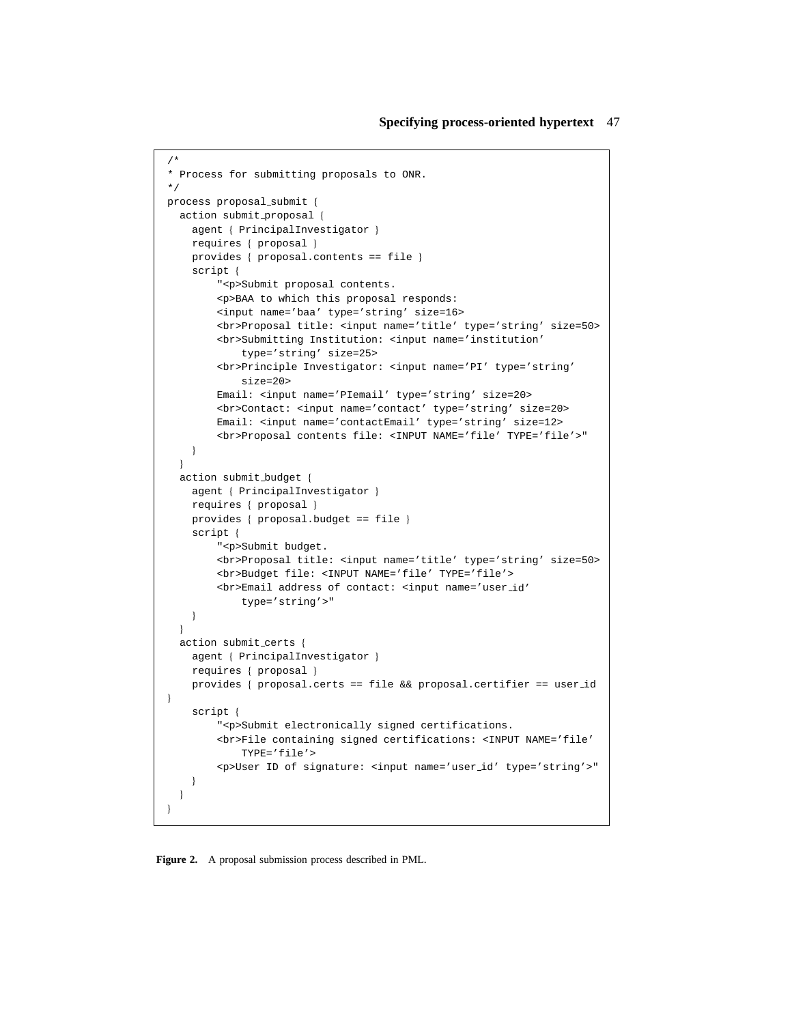```
/*
* Process for submitting proposals to ONR.
*/
process proposal submit f
  action submit proposal f
    agent { PrincipalInvestigator }
    requires { proposal }
    provides { proposal.contents == file }
    script f
        "<p>Submit proposal contents.
        <p>BAA to which this proposal responds:
        <input name='baa' type='string' size=16>
        <br>Proposal title: <input name='title' type='string' size=50>
        <br>Submitting Institution: <input name='institution'
            type='string' size=25>
        <br>Principle Investigator: <input name='PI' type='string'
            size=20>
        Email: <input name='PIemail' type='string' size=20>
        <br>Contact: <input name='contact' type='string' size=20>
        Email: <input name='contactEmail' type='string' size=12>
        <br>Proposal contents file: <INPUT NAME='file' TYPE='file'>"
    \}\}action submit budget f
    agent { PrincipalInvestigator }
    requires { proposal }
    provides { proposal.budget == file }
    script f
        "<p>Submit budget.
        <br>Proposal title: <input name='title' type='string' size=50>
        <br>Budget file: <INPUT NAME='file' TYPE='file'>
        <br>Email address of contact: <input name='user id'
            type='string'>"
    g
  <sup>1</sup>
  action submit certs f
    agent { PrincipalInvestigator }
    requires { proposal }
    provides f proposal.certs == file && proposal.certifier == user id
\mathcal{F}script f
        "<p>Submit electronically signed certifications.
        <br>File containing signed certifications: <INPUT NAME='file'
            TYPE='file'>
        <p>User ID of signature: <input name='user id' type='string'>"
    \rightarrow\}\mathcal{E}
```
**Figure 2.** A proposal submission process described in PML.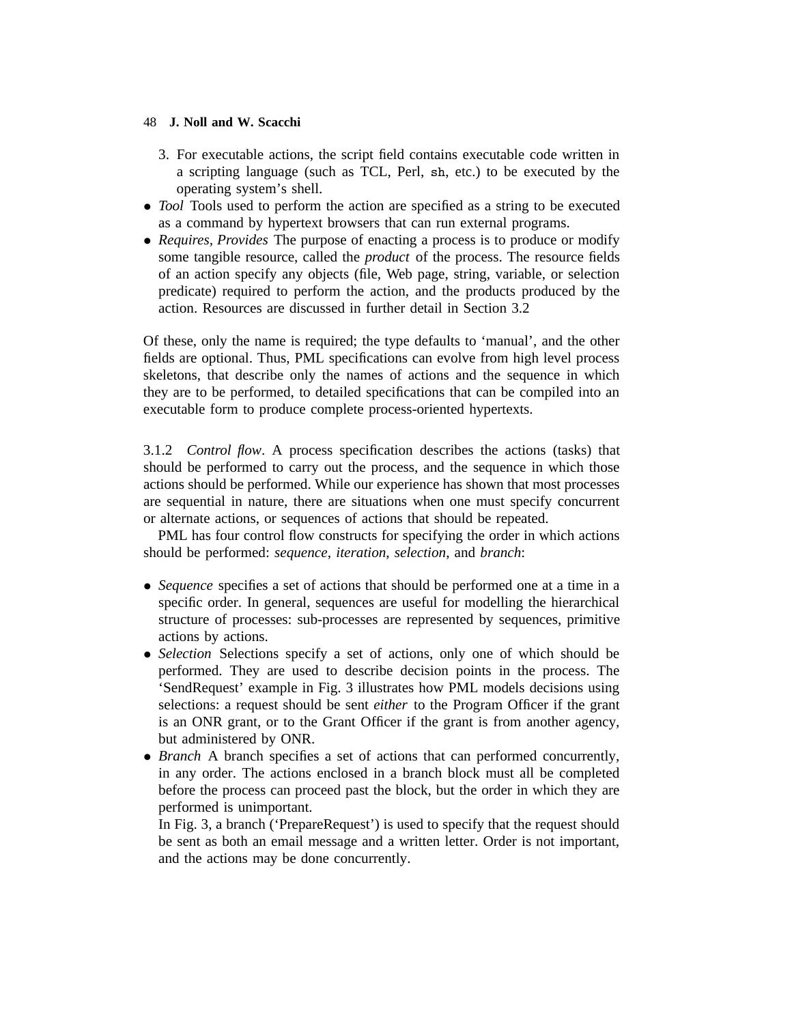- 3. For executable actions, the script field contains executable code written in a scripting language (such as TCL, Perl, sh, etc.) to be executed by the operating system's shell.
- *Tool* Tools used to perform the action are specified as a string to be executed as a command by hypertext browsers that can run external programs.
- *Requires, Provides* The purpose of enacting a process is to produce or modify some tangible resource, called the *product* of the process. The resource fields of an action specify any objects (file, Web page, string, variable, or selection predicate) required to perform the action, and the products produced by the action. Resources are discussed in further detail in Section 3.2

Of these, only the name is required; the type defaults to 'manual', and the other fields are optional. Thus, PML specifications can evolve from high level process skeletons, that describe only the names of actions and the sequence in which they are to be performed, to detailed specifications that can be compiled into an executable form to produce complete process-oriented hypertexts.

3.1.2 *Control flow*. A process specification describes the actions (tasks) that should be performed to carry out the process, and the sequence in which those actions should be performed. While our experience has shown that most processes are sequential in nature, there are situations when one must specify concurrent or alternate actions, or sequences of actions that should be repeated.

PML has four control flow constructs for specifying the order in which actions should be performed: *sequence*, *iteration*, *selection*, and *branch*:

- *Sequence* specifies a set of actions that should be performed one at a time in a specific order. In general, sequences are useful for modelling the hierarchical structure of processes: sub-processes are represented by sequences, primitive actions by actions.
- Selection Selections specify a set of actions, only one of which should be performed. They are used to describe decision points in the process. The 'SendRequest' example in [Fig. 3](#page-10-0) illustrates how PML models decisions using selections: a request should be sent *either* to the Program Officer if the grant is an ONR grant, or to the Grant Officer if the grant is from another agency, but administered by ONR.
- *Branch* A branch specifies a set of actions that can performed concurrently, in any order. The actions enclosed in a branch block must all be completed before the process can proceed past the block, but the order in which they are performed is unimportant.

In [Fig. 3](#page-10-0), a branch ('PrepareRequest') is used to specify that the request should be sent as both an email message and a written letter. Order is not important, and the actions may be done concurrently.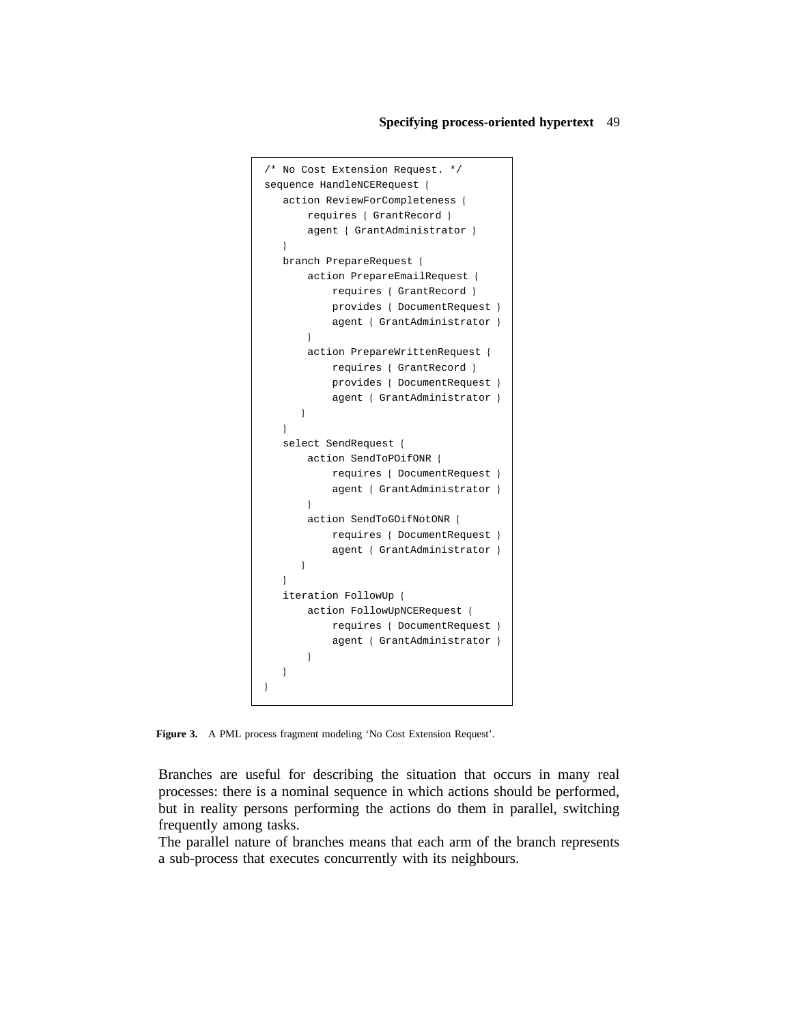```
/* No Cost Extension Request. */
sequence HandleNCERequest f
   action ReviewForCompleteness f
       requires { GrantRecord }
       agent { GrantAdministrator }
   \mathcal{E}branch PrepareRequest f
       action PrepareEmailRequest f
            requires { GrantRecord }
            provides { DocumentRequest }
            agent { GrantAdministrator }
       \mathcal{E}action PrepareWrittenRequest f
            requires { GrantRecord }
            provides { DocumentRequest }
            agent { GrantAdministrator }
      \mathcal{E}\}select SendRequest f
       action SendToPOifONR f
            requires { DocumentRequest }
            agent { GrantAdministrator }
       \mathcal{F}action SendToGOifNotONR f
            requires { DocumentRequest }
            agent { GrantAdministrator }
      \}\mathcal{E}iteration FollowUp f
       action FollowUpNCERequest f
            requires { DocumentRequest }
            agent { GrantAdministrator }
       \mathcal{E}\}\mathcal{E}
```
**Figure 3.** A PML process fragment modeling 'No Cost Extension Request'.

Branches are useful for describing the situation that occurs in many real processes: there is a nominal sequence in which actions should be performed, but in reality persons performing the actions do them in parallel, switching frequently among tasks.

The parallel nature of branches means that each arm of the branch represents a sub-process that executes concurrently with its neighbours.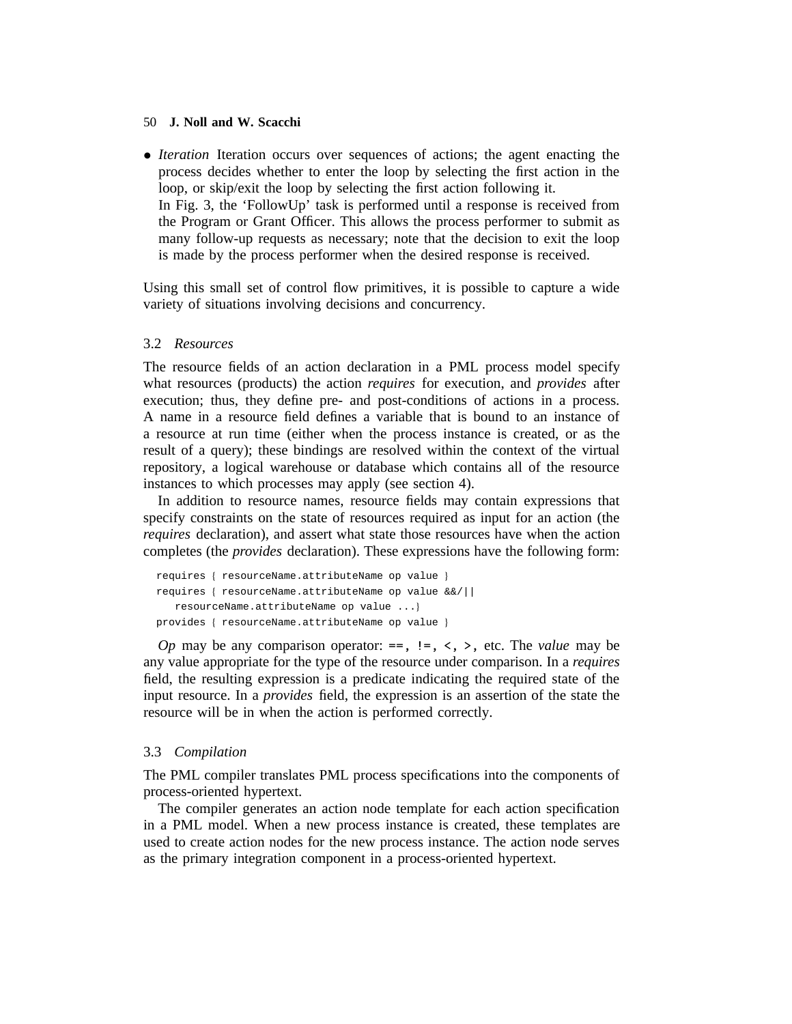• *Iteration* Iteration occurs over sequences of actions; the agent enacting the process decides whether to enter the loop by selecting the first action in the loop, or skip/exit the loop by selecting the first action following it. In [Fig. 3](#page-10-0), the 'FollowUp' task is performed until a response is received from the Program or Grant Officer. This allows the process performer to submit as many follow-up requests as necessary; note that the decision to exit the loop is made by the process performer when the desired response is received.

Using this small set of control flow primitives, it is possible to capture a wide variety of situations involving decisions and concurrency.

### 3.2 *Resources*

The resource fields of an action declaration in a PML process model specify what resources (products) the action *requires* for execution, and *provides* after execution; thus, they define pre- and post-conditions of actions in a process. A name in a resource field defines a variable that is bound to an instance of a resource at run time (either when the process instance is created, or as the result of a query); these bindings are resolved within the context of the virtual repository, a logical warehouse or database which contains all of the resource instances to which processes may apply (see section 4).

In addition to resource names, resource fields may contain expressions that specify constraints on the state of resources required as input for an action (the *requires* declaration), and assert what state those resources have when the action completes (the *provides* declaration). These expressions have the following form:

```
requires { resourceName.attributeName op value }
requires f resourceName.attributeName op value &&/||
   resourceName.attributeName op value ...g
provides { resourceName.attributeName op value }
```
*Op* may be any comparison operator: ==, !=, <, >, etc. The *value* may be any value appropriate for the type of the resource under comparison. In a *requires* field, the resulting expression is a predicate indicating the required state of the input resource. In a *provides* field, the expression is an assertion of the state the resource will be in when the action is performed correctly.

#### 3.3 *Compilation*

The PML compiler translates PML process specifications into the components of process-oriented hypertext.

The compiler generates an action node template for each action specification in a PML model. When a new process instance is created, these templates are used to create action nodes for the new process instance. The action node serves as the primary integration component in a process-oriented hypertext.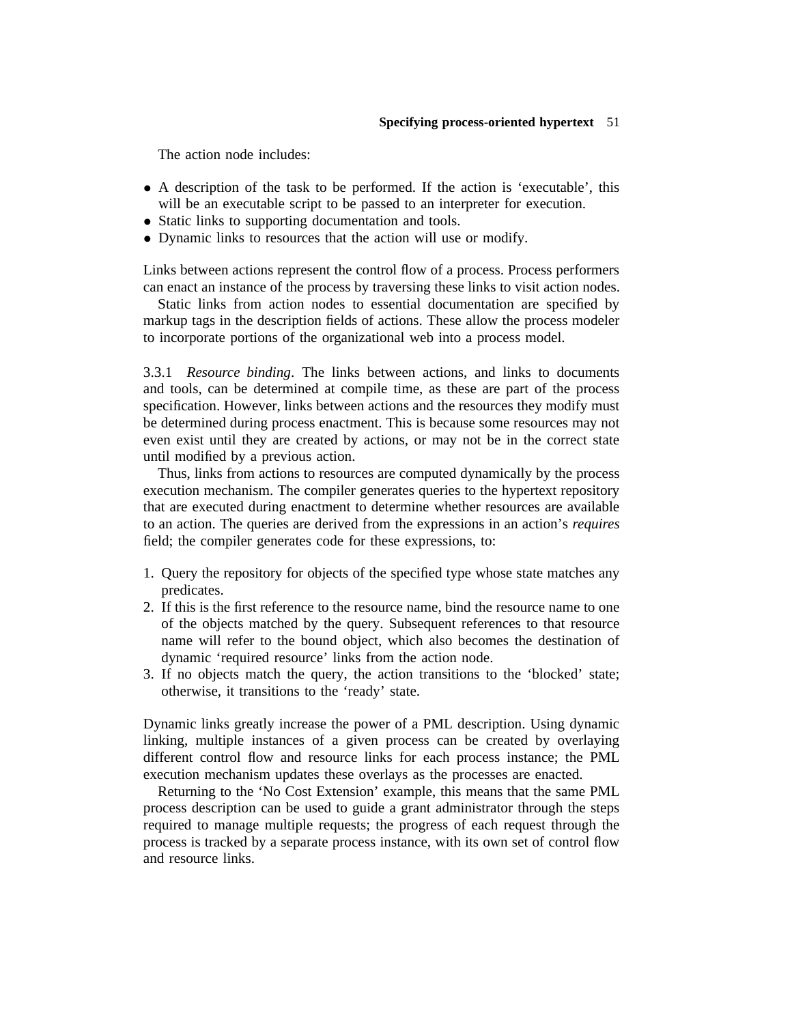The action node includes:

- A description of the task to be performed. If the action is 'executable', this will be an executable script to be passed to an interpreter for execution.
- Static links to supporting documentation and tools.
- Dynamic links to resources that the action will use or modify.

Links between actions represent the control flow of a process. Process performers can enact an instance of the process by traversing these links to visit action nodes.

Static links from action nodes to essential documentation are specified by markup tags in the description fields of actions. These allow the process modeler to incorporate portions of the organizational web into a process model.

3.3.1 *Resource binding*. The links between actions, and links to documents and tools, can be determined at compile time, as these are part of the process specification. However, links between actions and the resources they modify must be determined during process enactment. This is because some resources may not even exist until they are created by actions, or may not be in the correct state until modified by a previous action.

Thus, links from actions to resources are computed dynamically by the process execution mechanism. The compiler generates queries to the hypertext repository that are executed during enactment to determine whether resources are available to an action. The queries are derived from the expressions in an action's *requires* field; the compiler generates code for these expressions, to:

- 1. Query the repository for objects of the specified type whose state matches any predicates.
- 2. If this is the first reference to the resource name, bind the resource name to one of the objects matched by the query. Subsequent references to that resource name will refer to the bound object, which also becomes the destination of dynamic 'required resource' links from the action node.
- 3. If no objects match the query, the action transitions to the 'blocked' state; otherwise, it transitions to the 'ready' state.

Dynamic links greatly increase the power of a PML description. Using dynamic linking, multiple instances of a given process can be created by overlaying different control flow and resource links for each process instance; the PML execution mechanism updates these overlays as the processes are enacted.

Returning to the 'No Cost Extension' example, this means that the same PML process description can be used to guide a grant administrator through the steps required to manage multiple requests; the progress of each request through the process is tracked by a separate process instance, with its own set of control flow and resource links.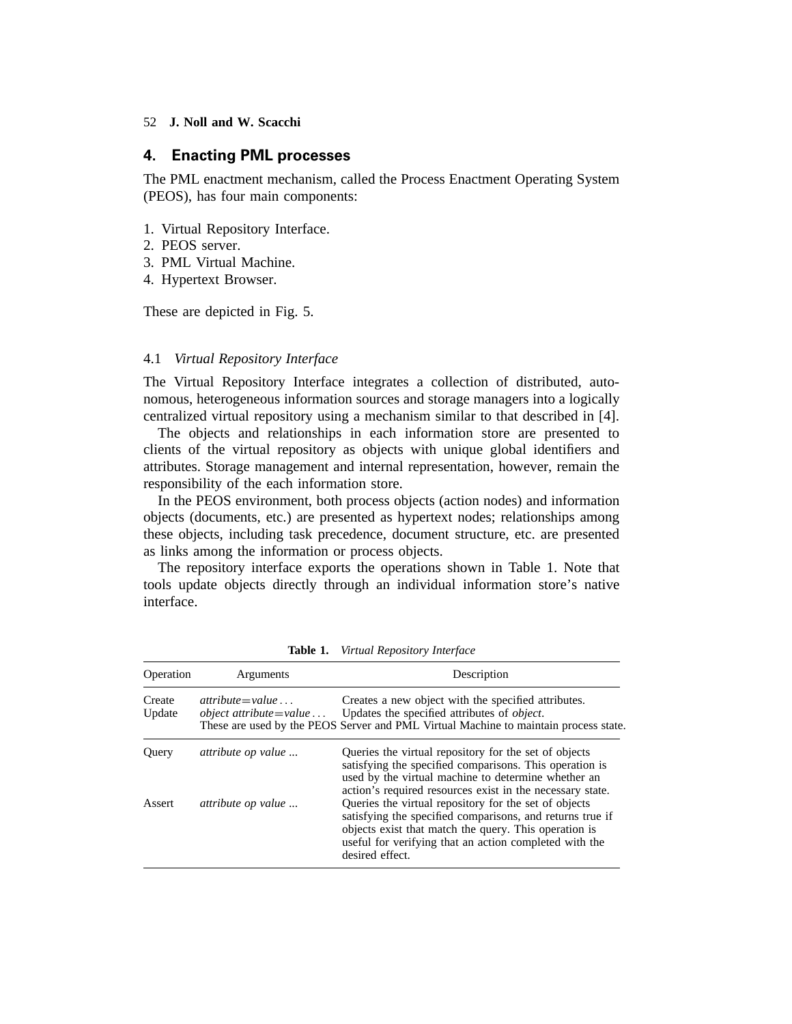### <span id="page-13-0"></span>**4. Enacting PML processes**

The PML enactment mechanism, called the Process Enactment Operating System (PEOS), has four main components:

- 1. Virtual Repository Interface.
- 2. PEOS server.
- 3. PML Virtual Machine.
- 4. Hypertext Browser.

These are depicted in [Fig. 5.](#page-17-0)

### 4.1 *Virtual Repository Interface*

The Virtual Repository Interface integrates a collection of distributed, autonomous, heterogeneous information sources and storage managers into a logically centralized virtual repository using a mechanism similar to that described in [4].

The objects and relationships in each information store are presented to clients of the virtual repository as objects with unique global identifiers and attributes. Storage management and internal representation, however, remain the responsibility of the each information store.

In the PEOS environment, both process objects (action nodes) and information objects (documents, etc.) are presented as hypertext nodes; relationships among these objects, including task precedence, document structure, etc. are presented as links among the information or process objects.

The repository interface exports the operations shown in Table 1. Note that tools update objects directly through an individual information store's native interface.

| Operation        | Arguments                                             | Description                                                                                                                                                                                                                                              |  |  |  |  |
|------------------|-------------------------------------------------------|----------------------------------------------------------------------------------------------------------------------------------------------------------------------------------------------------------------------------------------------------------|--|--|--|--|
| Create<br>Update | $attribute = value \dots$<br>$object$ attribute=value | Creates a new object with the specified attributes.<br>Updates the specified attributes of <i>object</i> .<br>These are used by the PEOS Server and PML Virtual Machine to maintain process state.                                                       |  |  |  |  |
| Ouery            | <i>attribute op value</i>                             | Queries the virtual repository for the set of objects<br>satisfying the specified comparisons. This operation is<br>used by the virtual machine to determine whether an<br>action's required resources exist in the necessary state.                     |  |  |  |  |
| Assert           | <i>attribute op value</i>                             | Queries the virtual repository for the set of objects<br>satisfying the specified comparisons, and returns true if<br>objects exist that match the query. This operation is<br>useful for verifying that an action completed with the<br>desired effect. |  |  |  |  |

**Table 1.** *Virtual Repository Interface*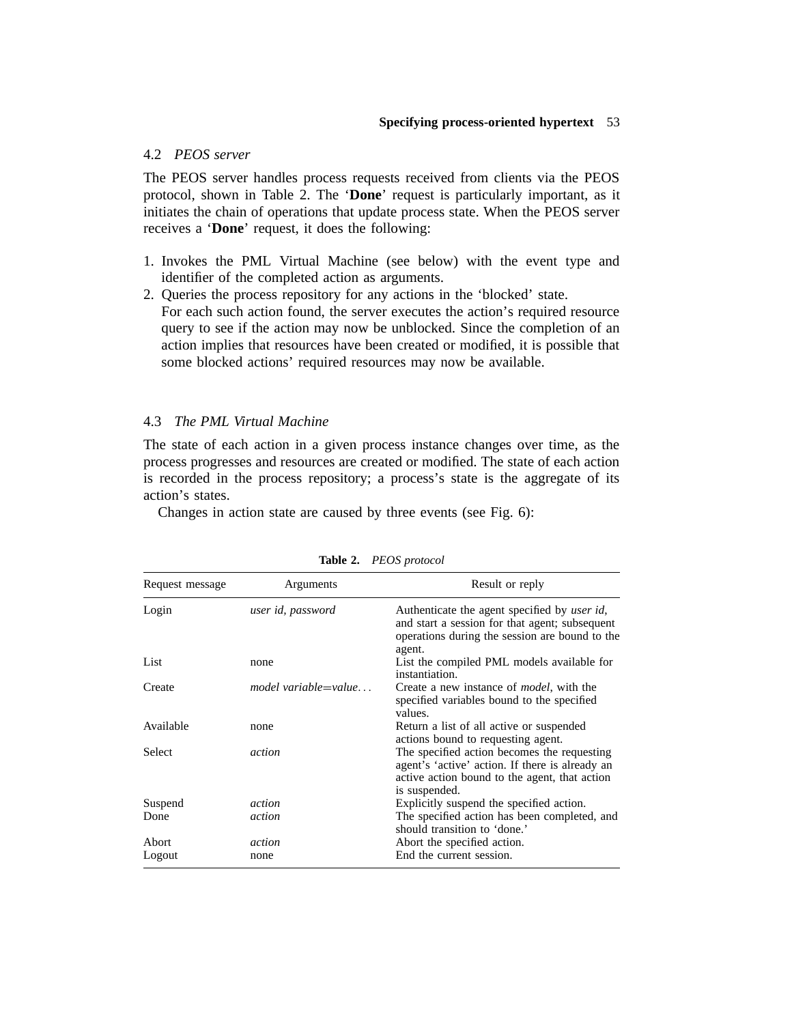### 4.2 *PEOS server*

The PEOS server handles process requests received from clients via the PEOS protocol, shown in Table 2. The '**Done**' request is particularly important, as it initiates the chain of operations that update process state. When the PEOS server receives a '**Done**' request, it does the following:

- 1. Invokes the PML Virtual Machine (see below) with the event type and identifier of the completed action as arguments.
- 2. Queries the process repository for any actions in the 'blocked' state. For each such action found, the server executes the action's required resource query to see if the action may now be unblocked. Since the completion of an action implies that resources have been created or modified, it is possible that some blocked actions' required resources may now be available.

# 4.3 *The PML Virtual Machine*

The state of each action in a given process instance changes over time, as the process progresses and resources are created or modified. The state of each action is recorded in the process repository; a process's state is the aggregate of its action's states.

Changes in action state are caused by three events (see [Fig. 6\)](#page-17-0):

| Request message | Arguments            | Result or reply                                                                                                                                                    |
|-----------------|----------------------|--------------------------------------------------------------------------------------------------------------------------------------------------------------------|
| Login           | user id, password    | Authenticate the agent specified by <i>user id</i> ,<br>and start a session for that agent; subsequent<br>operations during the session are bound to the<br>agent. |
| List            | none                 | List the compiled PML models available for<br>instantiation.                                                                                                       |
| Create          | model variable=value | Create a new instance of <i>model</i> , with the<br>specified variables bound to the specified<br>values.                                                          |
| Available       | none                 | Return a list of all active or suspended<br>actions bound to requesting agent.                                                                                     |
| Select          | action               | The specified action becomes the requesting<br>agent's 'active' action. If there is already an<br>active action bound to the agent, that action<br>is suspended.   |
| Suspend         | action               | Explicitly suspend the specified action.                                                                                                                           |
| Done            | action               | The specified action has been completed, and<br>should transition to 'done.'                                                                                       |
| Abort           | action               | Abort the specified action.                                                                                                                                        |
| Logout          | none                 | End the current session.                                                                                                                                           |

**Table 2.** *PEOS protocol*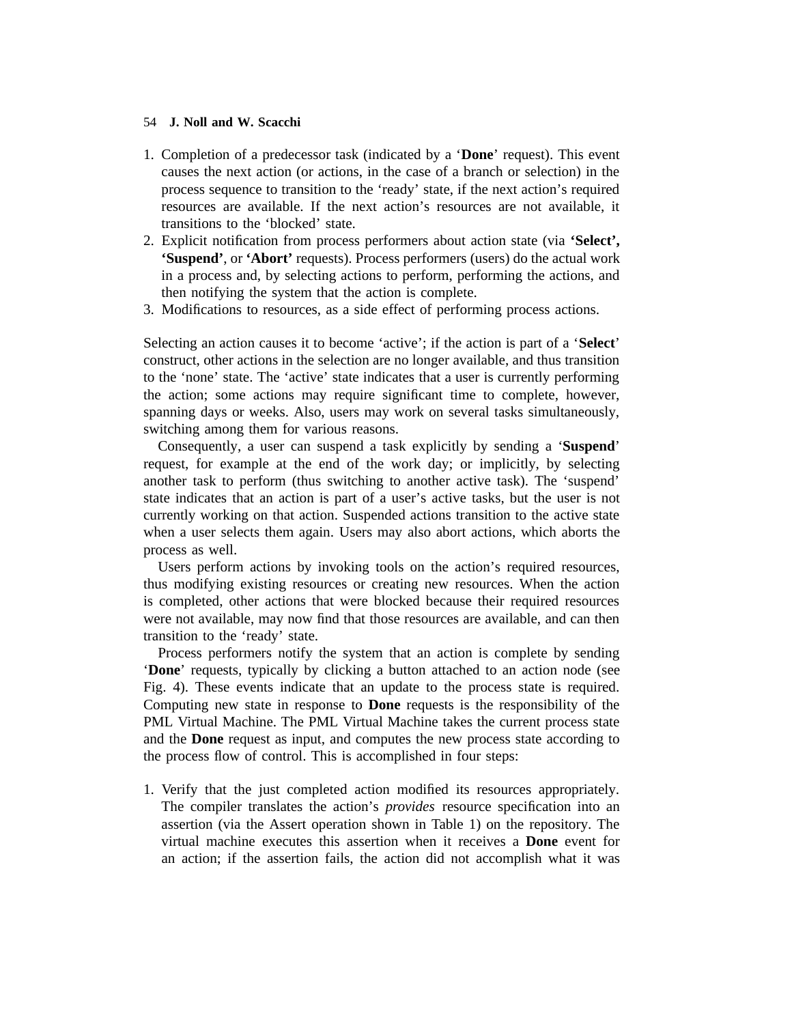- 1. Completion of a predecessor task (indicated by a '**Done**' request). This event causes the next action (or actions, in the case of a branch or selection) in the process sequence to transition to the 'ready' state, if the next action's required resources are available. If the next action's resources are not available, it transitions to the 'blocked' state.
- 2. Explicit notification from process performers about action state (via **'Select', 'Suspend'**, or **'Abort'** requests). Process performers (users) do the actual work in a process and, by selecting actions to perform, performing the actions, and then notifying the system that the action is complete.
- 3. Modifications to resources, as a side effect of performing process actions.

Selecting an action causes it to become 'active'; if the action is part of a '**Select**' construct, other actions in the selection are no longer available, and thus transition to the 'none' state. The 'active' state indicates that a user is currently performing the action; some actions may require significant time to complete, however, spanning days or weeks. Also, users may work on several tasks simultaneously, switching among them for various reasons.

Consequently, a user can suspend a task explicitly by sending a '**Suspend**' request, for example at the end of the work day; or implicitly, by selecting another task to perform (thus switching to another active task). The 'suspend' state indicates that an action is part of a user's active tasks, but the user is not currently working on that action. Suspended actions transition to the active state when a user selects them again. Users may also abort actions, which aborts the process as well.

Users perform actions by invoking tools on the action's required resources, thus modifying existing resources or creating new resources. When the action is completed, other actions that were blocked because their required resources were not available, may now find that those resources are available, and can then transition to the 'ready' state.

Process performers notify the system that an action is complete by sending '**Done**' requests, typically by clicking a button attached to an action node (see [Fig. 4](#page-16-0)). These events indicate that an update to the process state is required. Computing new state in response to **Done** requests is the responsibility of the PML Virtual Machine. The PML Virtual Machine takes the current process state and the **Done** request as input, and computes the new process state according to the process flow of control. This is accomplished in four steps:

1. Verify that the just completed action modified its resources appropriately. The compiler translates the action's *provides* resource specification into an assertion (via the Assert operation shown in [Table 1\)](#page-13-0) on the repository. The virtual machine executes this assertion when it receives a **Done** event for an action; if the assertion fails, the action did not accomplish what it was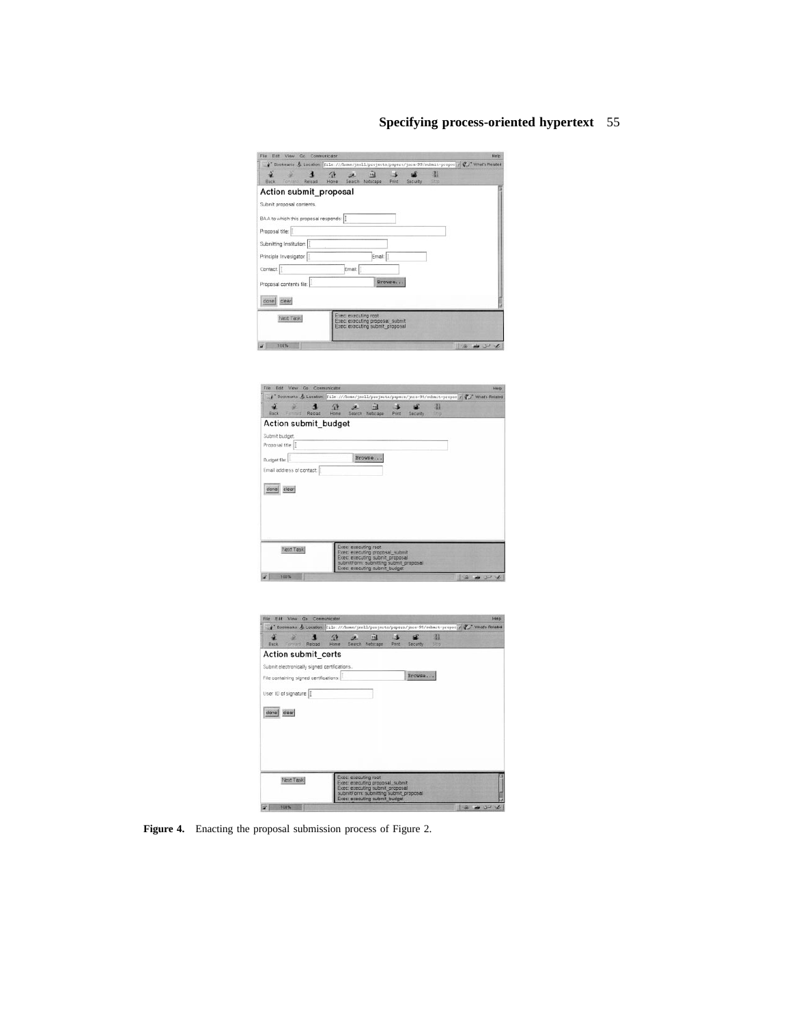<span id="page-16-0"></span>

| View<br>File Fift<br>$-$ Go<br>#" Bookmants & Location file://home/jnoll/projects/papers/jnca-99/submit-proposit C. What's Related | Communicator           |        |                                                                                            |        |           |             | Hep                                     |
|------------------------------------------------------------------------------------------------------------------------------------|------------------------|--------|--------------------------------------------------------------------------------------------|--------|-----------|-------------|-----------------------------------------|
| 25<br>Fonyard Regad<br>Back                                                                                                        | $\mathbb{R}^2$<br>Home |        | <b>Fed</b><br>Search Netscape Print                                                        | ы      | Sacurity. | 31<br>$-5t$ |                                         |
| Action submit proposal                                                                                                             |                        |        |                                                                                            |        |           |             |                                         |
| Submit proposal contents.                                                                                                          |                        |        |                                                                                            |        |           |             |                                         |
| BAA to which this proposal responds:                                                                                               |                        |        |                                                                                            |        |           |             |                                         |
| Proposal title:                                                                                                                    |                        |        |                                                                                            |        |           |             |                                         |
| Submitting Institution:                                                                                                            |                        |        |                                                                                            |        |           |             |                                         |
| Principle Invesigator:                                                                                                             |                        |        | Email:                                                                                     |        |           |             |                                         |
| Contact                                                                                                                            |                        | Email: |                                                                                            |        |           |             |                                         |
| Proposal contents file:                                                                                                            |                        |        |                                                                                            | Browse |           |             |                                         |
| cione clear                                                                                                                        |                        |        |                                                                                            |        |           |             |                                         |
| Next Task                                                                                                                          |                        |        | Exec: executing root<br>Exec: executing proposal submit<br>Exec: executing submit proposal |        |           |             |                                         |
| 100%                                                                                                                               |                        |        |                                                                                            |        |           |             | <b>Sig. 1</b><br>$\mathcal{L}$<br>$-12$ |

| File Edt<br>View Go Communicator                           |              |                                                                           |       |           |                    | Help                                                                                                   |
|------------------------------------------------------------|--------------|---------------------------------------------------------------------------|-------|-----------|--------------------|--------------------------------------------------------------------------------------------------------|
|                                                            |              |                                                                           |       |           |                    | #" Bookmanks & Location [file ///home/jnoll/projects/papers/jncs-99/submit-propos / G]" What's Related |
| $\rightarrow$ $\rightarrow$<br>Fernant Reload Home<br>Back | $\mathbb{R}$ | Ĥ<br>Search Netscape                                                      | Print | Security: | a.<br><b>Ettra</b> |                                                                                                        |
| Action submit budget                                       |              |                                                                           |       |           |                    |                                                                                                        |
| Submit budget.                                             |              |                                                                           |       |           |                    |                                                                                                        |
| Proposal title:                                            |              |                                                                           |       |           |                    |                                                                                                        |
| Budget fle:                                                |              | Browse                                                                    |       |           |                    |                                                                                                        |
| Email address of contact                                   |              |                                                                           |       |           |                    |                                                                                                        |
|                                                            |              |                                                                           |       |           |                    |                                                                                                        |
| clear<br>done                                              |              |                                                                           |       |           |                    |                                                                                                        |
|                                                            |              |                                                                           |       |           |                    |                                                                                                        |
|                                                            |              |                                                                           |       |           |                    |                                                                                                        |
|                                                            |              |                                                                           |       |           |                    |                                                                                                        |
|                                                            |              |                                                                           |       |           |                    |                                                                                                        |
|                                                            |              |                                                                           |       |           |                    |                                                                                                        |
| Next Task                                                  |              | Exec: executing root<br>Exec: executing proposal submit                   |       |           |                    |                                                                                                        |
|                                                            |              | Exec: executing submit_proposal<br>submitForm: submitting submit_proposal |       |           |                    |                                                                                                        |
|                                                            |              | Exec: executing submit: budget                                            |       |           |                    |                                                                                                        |
| 100%                                                       |              |                                                                           |       |           |                    | 2000                                                                                                   |

| Edit View Go Communicator<br>File:           |                      |                                                                          |              |          |                  | <b>I-balp</b>                                                                                     |
|----------------------------------------------|----------------------|--------------------------------------------------------------------------|--------------|----------|------------------|---------------------------------------------------------------------------------------------------|
|                                              |                      |                                                                          |              |          |                  | # Bookmans & Locaton file ///home/jnoll/projects/papers/jncs-99/submit-propos / @ "What's Related |
| Forward<br>Back                              | 28<br>Reload<br>Home | Search Neticape                                                          | ज्य<br>Print | Security | 涸<br><b>S70p</b> |                                                                                                   |
| Action submit certs                          |                      |                                                                          |              |          |                  |                                                                                                   |
| Submit electronically signed certifications. |                      |                                                                          |              |          |                  |                                                                                                   |
| File containing signed certifications:       |                      |                                                                          |              | Browse   |                  |                                                                                                   |
|                                              |                      |                                                                          |              |          |                  |                                                                                                   |
| User ID of signature:                        |                      |                                                                          |              |          |                  |                                                                                                   |
|                                              |                      |                                                                          |              |          |                  |                                                                                                   |
| done clear                                   |                      |                                                                          |              |          |                  |                                                                                                   |
|                                              |                      |                                                                          |              |          |                  |                                                                                                   |
|                                              |                      |                                                                          |              |          |                  |                                                                                                   |
|                                              |                      |                                                                          |              |          |                  |                                                                                                   |
|                                              |                      |                                                                          |              |          |                  |                                                                                                   |
|                                              |                      |                                                                          |              |          |                  |                                                                                                   |
| Next Task                                    |                      | Exec: executing root                                                     |              |          |                  |                                                                                                   |
|                                              |                      | Exec: executing proposal submit<br>Exec: executing submit_proposal       |              |          |                  |                                                                                                   |
|                                              |                      | submitForm: submitting submit_proposal<br>Exec: executing submit budget. |              |          |                  |                                                                                                   |
| 100%                                         |                      |                                                                          |              |          |                  | $-502$                                                                                            |

**Figure 4.** Enacting the proposal submission process of [Figure](#page-8-0) 2.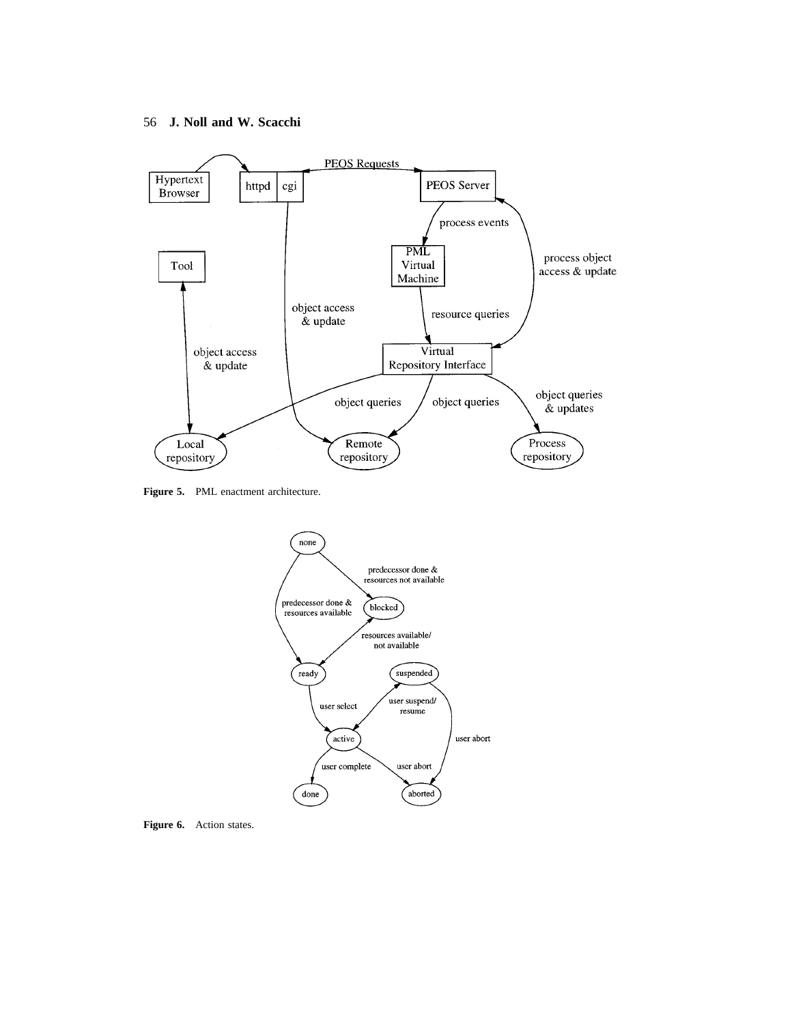<span id="page-17-0"></span>

Figure 5. PML enactment architecture.



Figure 6. Action states.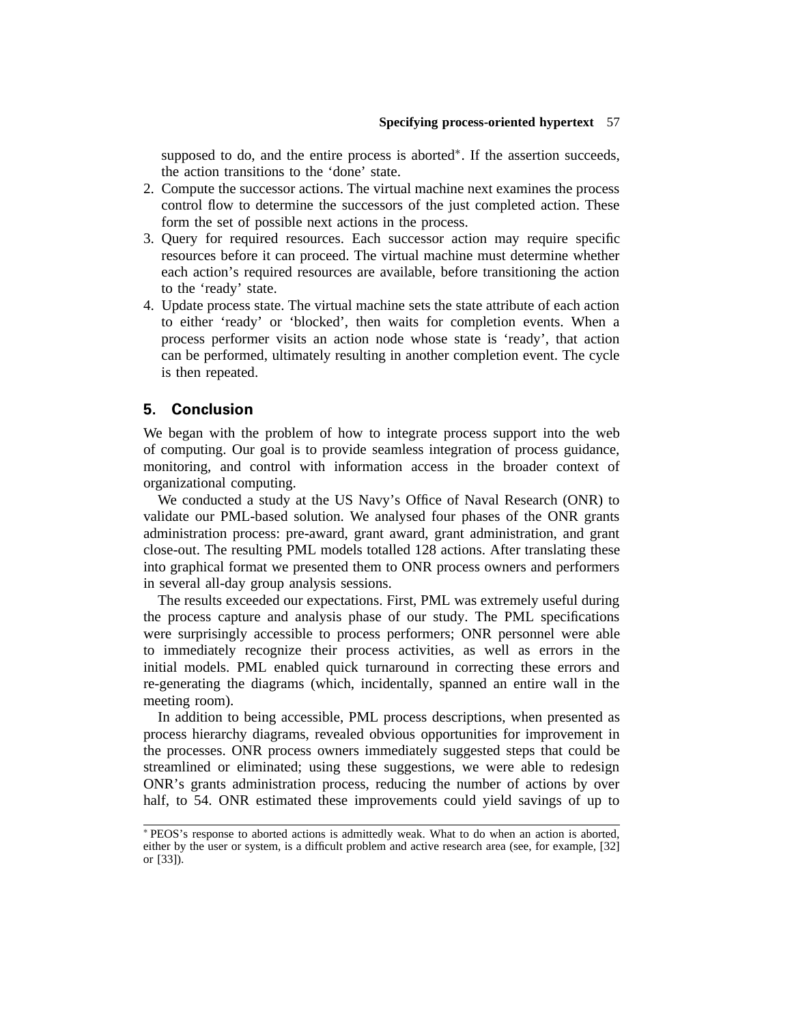supposed to do, and the entire process is aborted $*$ . If the assertion succeeds, the action transitions to the 'done' state.

- 2. Compute the successor actions. The virtual machine next examines the process control flow to determine the successors of the just completed action. These form the set of possible next actions in the process.
- 3. Query for required resources. Each successor action may require specific resources before it can proceed. The virtual machine must determine whether each action's required resources are available, before transitioning the action to the 'ready' state.
- 4. Update process state. The virtual machine sets the state attribute of each action to either 'ready' or 'blocked', then waits for completion events. When a process performer visits an action node whose state is 'ready', that action can be performed, ultimately resulting in another completion event. The cycle is then repeated.

## **5. Conclusion**

We began with the problem of how to integrate process support into the web of computing. Our goal is to provide seamless integration of process guidance, monitoring, and control with information access in the broader context of organizational computing.

We conducted a study at the US Navy's Office of Naval Research (ONR) to validate our PML-based solution. We analysed four phases of the ONR grants administration process: pre-award, grant award, grant administration, and grant close-out. The resulting PML models totalled 128 actions. After translating these into graphical format we presented them to ONR process owners and performers in several all-day group analysis sessions.

The results exceeded our expectations. First, PML was extremely useful during the process capture and analysis phase of our study. The PML specifications were surprisingly accessible to process performers; ONR personnel were able to immediately recognize their process activities, as well as errors in the initial models. PML enabled quick turnaround in correcting these errors and re-generating the diagrams (which, incidentally, spanned an entire wall in the meeting room).

In addition to being accessible, PML process descriptions, when presented as process hierarchy diagrams, revealed obvious opportunities for improvement in the processes. ONR process owners immediately suggested steps that could be streamlined or eliminated; using these suggestions, we were able to redesign ONR's grants administration process, reducing the number of actions by over half, to 54. ONR estimated these improvements could yield savings of up to

<sup>Ł</sup> PEOS's response to aborted actions is admittedly weak. What to do when an action is aborted, either by the user or system, is a difficult problem and active research area (see, for example, [32] or [33]).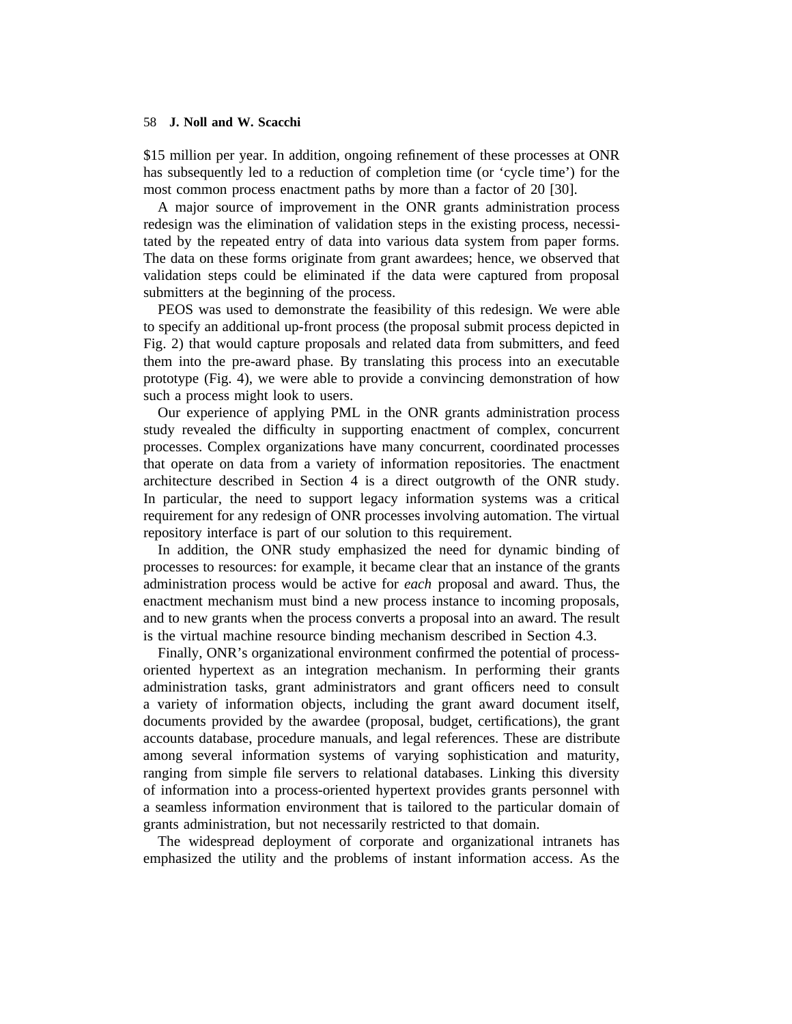\$15 million per year. In addition, ongoing refinement of these processes at ONR has subsequently led to a reduction of completion time (or 'cycle time') for the most common process enactment paths by more than a factor of 20 [30].

A major source of improvement in the ONR grants administration process redesign was the elimination of validation steps in the existing process, necessitated by the repeated entry of data into various data system from paper forms. The data on these forms originate from grant awardees; hence, we observed that validation steps could be eliminated if the data were captured from proposal submitters at the beginning of the process.

PEOS was used to demonstrate the feasibility of this redesign. We were able to specify an additional up-front process (the proposal submit process depicted in [Fig. 2](#page-8-0)) that would capture proposals and related data from submitters, and feed them into the pre-award phase. By translating this process into an executable prototype [\(Fig. 4\)](#page-16-0), we were able to provide a convincing demonstration of how such a process might look to users.

Our experience of applying PML in the ONR grants administration process study revealed the difficulty in supporting enactment of complex, concurrent processes. Complex organizations have many concurrent, coordinated processes that operate on data from a variety of information repositories. The enactment architecture described in Section 4 is a direct outgrowth of the ONR study. In particular, the need to support legacy information systems was a critical requirement for any redesign of ONR processes involving automation. The virtual repository interface is part of our solution to this requirement.

In addition, the ONR study emphasized the need for dynamic binding of processes to resources: for example, it became clear that an instance of the grants administration process would be active for *each* proposal and award. Thus, the enactment mechanism must bind a new process instance to incoming proposals, and to new grants when the process converts a proposal into an award. The result is the virtual machine resource binding mechanism described in Section 4.3.

Finally, ONR's organizational environment confirmed the potential of processoriented hypertext as an integration mechanism. In performing their grants administration tasks, grant administrators and grant officers need to consult a variety of information objects, including the grant award document itself, documents provided by the awardee (proposal, budget, certifications), the grant accounts database, procedure manuals, and legal references. These are distribute among several information systems of varying sophistication and maturity, ranging from simple file servers to relational databases. Linking this diversity of information into a process-oriented hypertext provides grants personnel with a seamless information environment that is tailored to the particular domain of grants administration, but not necessarily restricted to that domain.

The widespread deployment of corporate and organizational intranets has emphasized the utility and the problems of instant information access. As the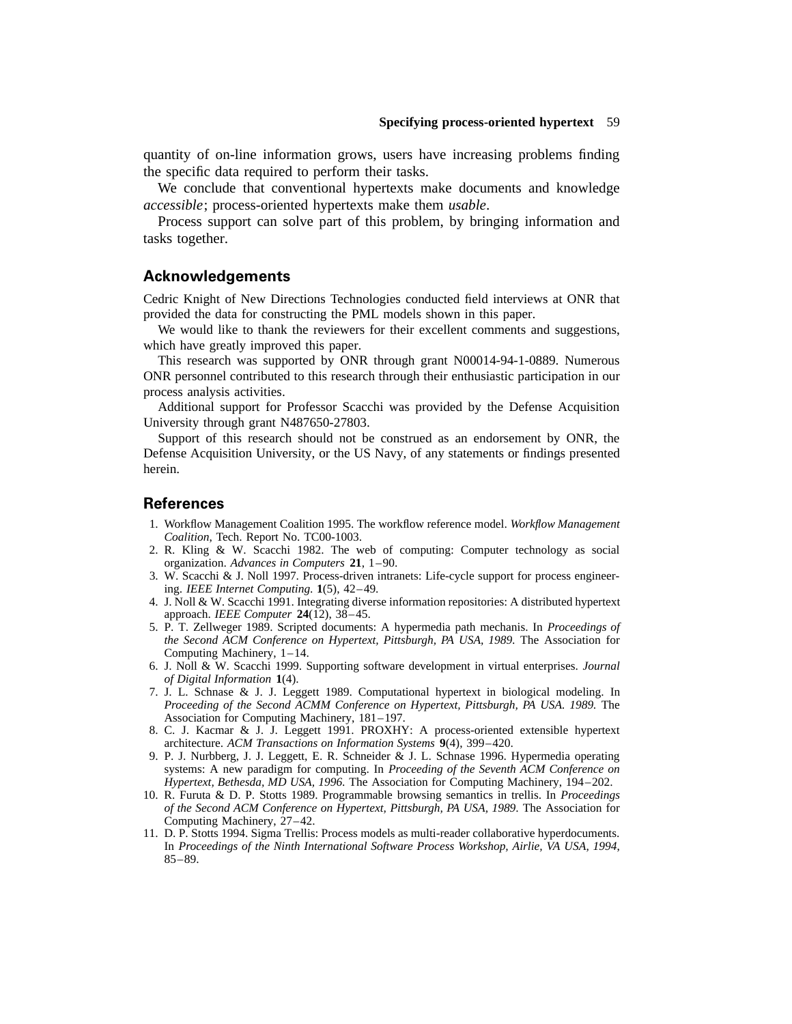quantity of on-line information grows, users have increasing problems finding the specific data required to perform their tasks.

We conclude that conventional hypertexts make documents and knowledge *accessible*; process-oriented hypertexts make them *usable*.

Process support can solve part of this problem, by bringing information and tasks together.

### **Acknowledgements**

Cedric Knight of New Directions Technologies conducted field interviews at ONR that provided the data for constructing the PML models shown in this paper.

We would like to thank the reviewers for their excellent comments and suggestions, which have greatly improved this paper.

This research was supported by ONR through grant N00014-94-1-0889. Numerous ONR personnel contributed to this research through their enthusiastic participation in our process analysis activities.

Additional support for Professor Scacchi was provided by the Defense Acquisition University through grant N487650-27803.

Support of this research should not be construed as an endorsement by ONR, the Defense Acquisition University, or the US Navy, of any statements or findings presented herein.

# **References**

- 1. Workflow Management Coalition 1995. The workflow reference model. *Workflow Management Coalition*, Tech. Report No. TC00-1003.
- 2. R. Kling & W. Scacchi 1982. The web of computing: Computer technology as social organization. *Advances in Computers* **21**, 1–90.
- 3. W. Scacchi & J. Noll 1997. Process-driven intranets: Life-cycle support for process engineering. *IEEE Internet Computing*. **1**(5), 42–49.
- 4. J. Noll & W. Scacchi 1991. Integrating diverse information repositories: A distributed hypertext approach. *IEEE Computer* **24**(12), 38–45.
- 5. P. T. Zellweger 1989. Scripted documents: A hypermedia path mechanis. In *Proceedings of the Second ACM Conference on Hypertext, Pittsburgh, PA USA, 1989*. The Association for Computing Machinery, 1–14.
- 6. J. Noll & W. Scacchi 1999. Supporting software development in virtual enterprises. *Journal of Digital Information* **1**(4).
- 7. J. L. Schnase & J. J. Leggett 1989. Computational hypertext in biological modeling. In *Proceeding of the Second ACMM Conference on Hypertext, Pittsburgh, PA USA. 1989*. The Association for Computing Machinery, 181–197.
- 8. C. J. Kacmar & J. J. Leggett 1991. PROXHY: A process-oriented extensible hypertext architecture. *ACM Transactions on Information Systems* **9**(4), 399–420.
- 9. P. J. Nurbberg, J. J. Leggett, E. R. Schneider & J. L. Schnase 1996. Hypermedia operating systems: A new paradigm for computing. In *Proceeding of the Seventh ACM Conference on Hypertext, Bethesda, MD USA, 1996*. The Association for Computing Machinery, 194–202.
- 10. R. Furuta & D. P. Stotts 1989. Programmable browsing semantics in trellis. In *Proceedings of the Second ACM Conference on Hypertext, Pittsburgh, PA USA, 1989*. The Association for Computing Machinery, 27–42.
- 11. D. P. Stotts 1994. Sigma Trellis: Process models as multi-reader collaborative hyperdocuments. In *Proceedings of the Ninth International Software Process Workshop, Airlie, VA USA, 1994*, 85–89.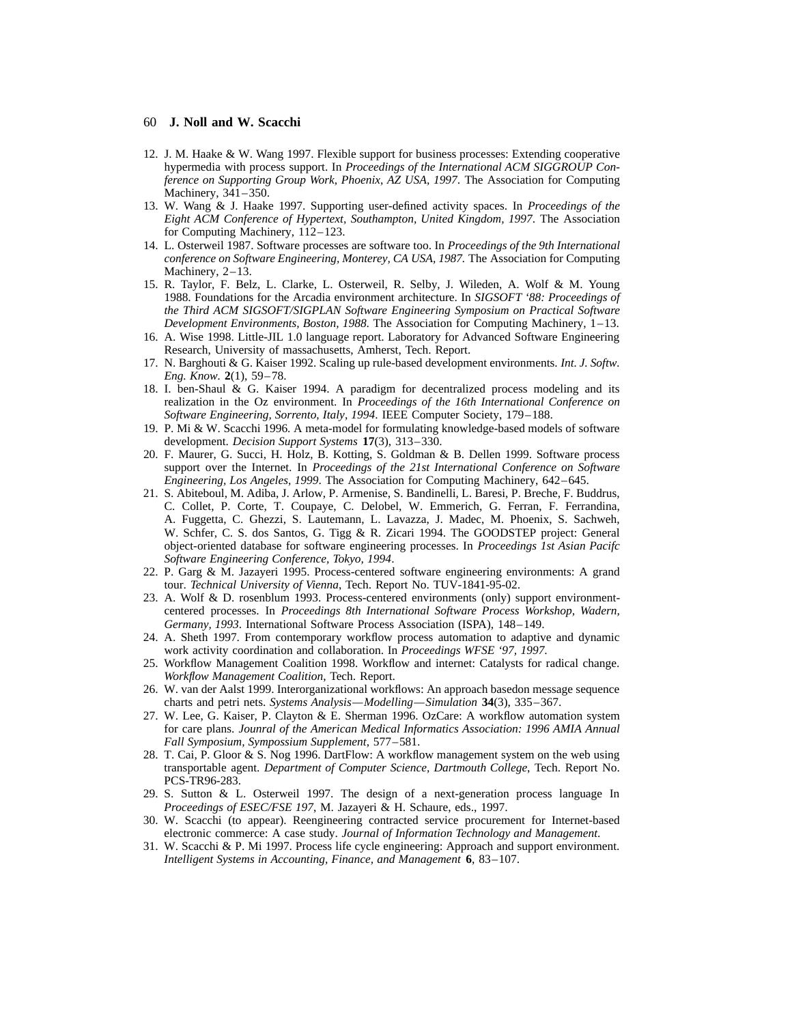- 12. J. M. Haake & W. Wang 1997. Flexible support for business processes: Extending cooperative hypermedia with process support. In *Proceedings of the International ACM SIGGROUP Conference on Supporting Group Work, Phoenix, AZ USA, 1997*. The Association for Computing Machinery, 341–350.
- 13. W. Wang & J. Haake 1997. Supporting user-defined activity spaces. In *Proceedings of the Eight ACM Conference of Hypertext, Southampton, United Kingdom, 1997*. The Association for Computing Machinery, 112–123.
- 14. L. Osterweil 1987. Software processes are software too. In *Proceedings of the 9th International conference on Software Engineering, Monterey, CA USA, 1987.* The Association for Computing Machinery, 2–13.
- 15. R. Taylor, F. Belz, L. Clarke, L. Osterweil, R. Selby, J. Wileden, A. Wolf & M. Young 1988. Foundations for the Arcadia environment architecture. In *SIGSOFT '88: Proceedings of the Third ACM SIGSOFT/SIGPLAN Software Engineering Symposium on Practical Software Development Environments, Boston, 1988*. The Association for Computing Machinery, 1–13.
- 16. A. Wise 1998. Little-JIL 1.0 language report. Laboratory for Advanced Software Engineering Research, University of massachusetts, Amherst, Tech. Report.
- 17. N. Barghouti & G. Kaiser 1992. Scaling up rule-based development environments. *Int. J. Softw. Eng. Know.* **2**(1), 59–78.
- 18. I. ben-Shaul & G. Kaiser 1994. A paradigm for decentralized process modeling and its realization in the Oz environment. In *Proceedings of the 16th International Conference on Software Engineering, Sorrento, Italy, 1994*. IEEE Computer Society, 179–188.
- 19. P. Mi & W. Scacchi 1996. A meta-model for formulating knowledge-based models of software development. *Decision Support Systems* **17**(3), 313–330.
- 20. F. Maurer, G. Succi, H. Holz, B. Kotting, S. Goldman & B. Dellen 1999. Software process support over the Internet. In *Proceedings of the 21st International Conference on Software Engineering, Los Angeles, 1999*. The Association for Computing Machinery, 642–645.
- 21. S. Abiteboul, M. Adiba, J. Arlow, P. Armenise, S. Bandinelli, L. Baresi, P. Breche, F. Buddrus, C. Collet, P. Corte, T. Coupaye, C. Delobel, W. Emmerich, G. Ferran, F. Ferrandina, A. Fuggetta, C. Ghezzi, S. Lautemann, L. Lavazza, J. Madec, M. Phoenix, S. Sachweh, W. Schfer, C. S. dos Santos, G. Tigg & R. Zicari 1994. The GOODSTEP project: General object-oriented database for software engineering processes. In *Proceedings 1st Asian Pacifc Software Engineering Conference, Tokyo, 1994*.
- 22. P. Garg & M. Jazayeri 1995. Process-centered software engineering environments: A grand tour. *Technical University of Vienna*, Tech. Report No. TUV-1841-95-02.
- 23. A. Wolf & D. rosenblum 1993. Process-centered environments (only) support environmentcentered processes. In *Proceedings 8th International Software Process Workshop, Wadern, Germany, 1993*. International Software Process Association (ISPA), 148–149.
- 24. A. Sheth 1997. From contemporary workflow process automation to adaptive and dynamic work activity coordination and collaboration. In *Proceedings WFSE '97, 1997*.
- 25. Workflow Management Coalition 1998. Workflow and internet: Catalysts for radical change. *Workflow Management Coalition*, Tech. Report.
- 26. W. van der Aalst 1999. Interorganizational workflows: An approach basedon message sequence charts and petri nets. *Systems Analysis—Modelling—Simulation* **34**(3), 335–367.
- 27. W. Lee, G. Kaiser, P. Clayton & E. Sherman 1996. OzCare: A workflow automation system for care plans. *Jounral of the American Medical Informatics Association: 1996 AMIA Annual Fall Symposium, Sympossium Supplement*, 577–581.
- 28. T. Cai, P. Gloor & S. Nog 1996. DartFlow: A workflow management system on the web using transportable agent. *Department of Computer Science, Dartmouth College*, Tech. Report No. PCS-TR96-283.
- 29. S. Sutton & L. Osterweil 1997. The design of a next-generation process language In *Proceedings of ESEC/FSE 197*, M. Jazayeri & H. Schaure, eds., 1997.
- 30. W. Scacchi (to appear). Reengineering contracted service procurement for Internet-based electronic commerce: A case study. *Journal of Information Technology and Management*.
- 31. W. Scacchi & P. Mi 1997. Process life cycle engineering: Approach and support environment. *Intelligent Systems in Accounting, Finance, and Management* **6**, 83–107.